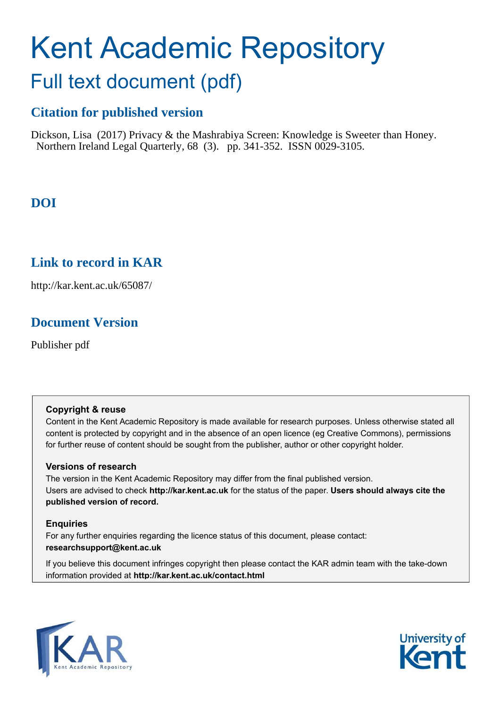# Kent Academic Repository

# Full text document (pdf)

# **Citation for published version**

Dickson, Lisa (2017) Privacy & the Mashrabiya Screen: Knowledge is Sweeter than Honey. Northern Ireland Legal Quarterly, 68 (3). pp. 341-352. ISSN 0029-3105.

# **DOI**

# **Link to record in KAR**

http://kar.kent.ac.uk/65087/

# **Document Version**

Publisher pdf

## **Copyright & reuse**

Content in the Kent Academic Repository is made available for research purposes. Unless otherwise stated all content is protected by copyright and in the absence of an open licence (eg Creative Commons), permissions for further reuse of content should be sought from the publisher, author or other copyright holder.

## **Versions of research**

The version in the Kent Academic Repository may differ from the final published version. Users are advised to check **http://kar.kent.ac.uk** for the status of the paper. **Users should always cite the published version of record.**

## **Enquiries**

For any further enquiries regarding the licence status of this document, please contact: **researchsupport@kent.ac.uk**

If you believe this document infringes copyright then please contact the KAR admin team with the take-down information provided at **http://kar.kent.ac.uk/contact.html**



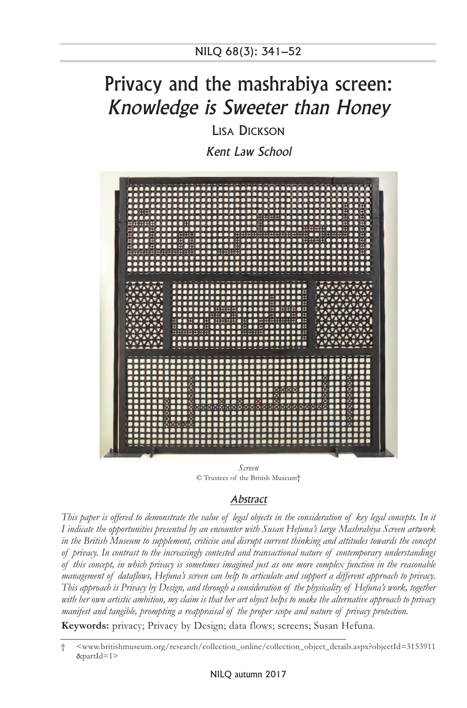# Privacy and the mashrabiya screen: Knowledge is Sweeter than Honey

LISA DICKSON

Kent Law School



*Screen*  © Trustees of the British Museum†

## **Abstract**

*This paper is offered to demonstrate the value of legal objects in the consideration of key legal concepts. In it I indicate the opportunities presented by an encounter with Susan Hefuna's large Mashrabiya Screen artwork in the British Museum to supplement, criticise and disrupt current thinking and attitudes towards the concept of privacy. In contrast to the increasingly contested and transactional nature of contemporary understandings of this concept, in which privacy is sometimes imagined just as one more complex function in the reasonable management of dataflows, Hefuna's screen can help to articulate and support a different approach to privacy. This approach is Privacy by Design, and through a consideration of the physicality of Hefuna's work, together with her own artistic ambition, my claim is that her art object helps to make the alternative approach to privacy manifest and tangible, prompting a reappraisal of the proper scope and nature of privacy protection.* 

**Keywords:** privacy; Privacy by Design; data flows; screens; Susan Hefuna.

<sup>† &</sup>lt;www.britishmuseum.org/research/collection\_online/collection\_object\_details.aspx?objectId=3153911 &partId=1>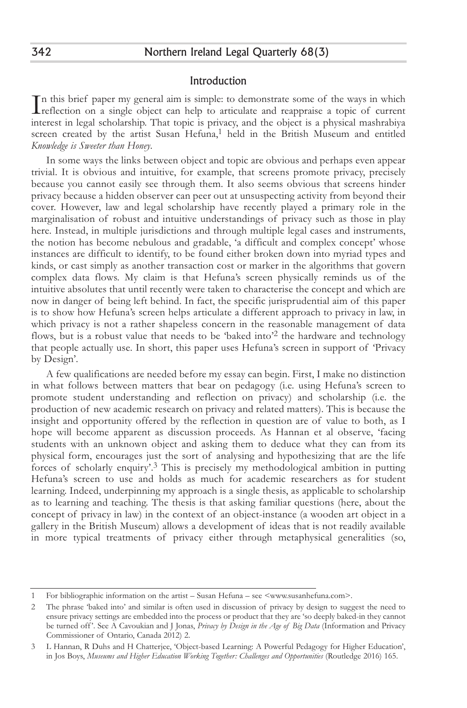#### Introduction

In this brief paper my general aim is simple: to demonstrate some of the ways in which<br>reflection on a single object can help to articulate and reappraise a topic of current<br>interest in local scholarship. That topic is pri reflection on a single object can help to articulate and reappraise a topic of current interest in legal scholarship. That topic is privacy, and the object is a physical mashrabiya screen created by the artist Susan Hefuna,<sup>1</sup> held in the British Museum and entitled *Knowledge is Sweeter than Honey*.

In some ways the links between object and topic are obvious and perhaps even appear trivial. It is obvious and intuitive, for example, that screens promote privacy, precisely because you cannot easily see through them. It also seems obvious that screens hinder privacy because a hidden observer can peer out at unsuspecting activity from beyond their cover. However, law and legal scholarship have recently played a primary role in the marginalisation of robust and intuitive understandings of privacy such as those in play here. Instead, in multiple jurisdictions and through multiple legal cases and instruments, the notion has become nebulous and gradable, 'a difficult and complex concept' whose instances are difficult to identify, to be found either broken down into myriad types and kinds, or cast simply as another transaction cost or marker in the algorithms that govern complex data flows. My claim is that Hefuna's screen physically reminds us of the intuitive absolutes that until recently were taken to characterise the concept and which are now in danger of being left behind. In fact, the specific jurisprudential aim of this paper is to show how Hefuna's screen helps articulate a different approach to privacy in law, in which privacy is not a rather shapeless concern in the reasonable management of data flows, but is a robust value that needs to be 'baked into'<sup>2</sup> the hardware and technology that people actually use. In short, this paper uses Hefuna's screen in support of 'Privacy by Design'.

A few qualifications are needed before my essay can begin. First, I make no distinction in what follows between matters that bear on pedagogy (i.e. using Hefuna's screen to promote student understanding and reflection on privacy) and scholarship (i.e. the production of new academic research on privacy and related matters). This is because the insight and opportunity offered by the reflection in question are of value to both, as I hope will become apparent as discussion proceeds. As Hannan et al observe, 'facing students with an unknown object and asking them to deduce what they can from its physical form, encourages just the sort of analysing and hypothesizing that are the life forces of scholarly enquiry'.3 This is precisely my methodological ambition in putting Hefuna's screen to use and holds as much for academic researchers as for student learning. Indeed, underpinning my approach is a single thesis, as applicable to scholarship as to learning and teaching. The thesis is that asking familiar questions (here, about the concept of privacy in law) in the context of an object-instance (a wooden art object in a gallery in the British Museum) allows a development of ideas that is not readily available in more typical treatments of privacy either through metaphysical generalities (so,

<sup>1</sup> For bibliographic information on the artist – Susan Hefuna – see <www.susanhefuna.com>.

<sup>2</sup> The phrase 'baked into' and similar is often used in discussion of privacy by design to suggest the need to ensure privacy settings are embedded into the process or product that they are 'so deeply baked-in they cannot be turned off '. See A Cavoukian and J Jonas, *Privacy by Design in the Age of Big Data* (Information and Privacy Commissioner of Ontario, Canada 2012) 2.

<sup>3</sup> L Hannan, R Duhs and H Chatterjee, 'Object-based Learning: A Powerful Pedagogy for Higher Education', in Jos Boys, *Museums and Higher Education Working Together: Challenges and Opportunities* (Routledge 2016) 165.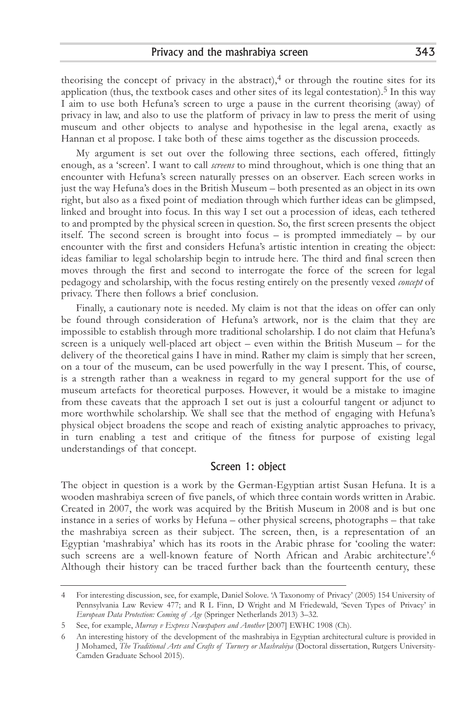theorising the concept of privacy in the abstract), $4$  or through the routine sites for its application (thus, the textbook cases and other sites of its legal contestation).<sup>5</sup> In this way I aim to use both Hefuna's screen to urge a pause in the current theorising (away) of privacy in law, and also to use the platform of privacy in law to press the merit of using museum and other objects to analyse and hypothesise in the legal arena, exactly as Hannan et al propose. I take both of these aims together as the discussion proceeds.

My argument is set out over the following three sections, each offered, fittingly enough, as a 'screen'. I want to call *screens* to mind throughout, which is one thing that an encounter with Hefuna's screen naturally presses on an observer. Each screen works in just the way Hefuna's does in the British Museum – both presented as an object in its own right, but also as a fixed point of mediation through which further ideas can be glimpsed, linked and brought into focus. In this way I set out a procession of ideas, each tethered to and prompted by the physical screen in question. So, the first screen presents the object itself. The second screen is brought into focus – is prompted immediately – by our encounter with the first and considers Hefuna's artistic intention in creating the object: ideas familiar to legal scholarship begin to intrude here. The third and final screen then moves through the first and second to interrogate the force of the screen for legal pedagogy and scholarship, with the focus resting entirely on the presently vexed *concept* of privacy. There then follows a brief conclusion.

Finally, a cautionary note is needed. My claim is not that the ideas on offer can only be found through consideration of Hefuna's artwork, nor is the claim that they are impossible to establish through more traditional scholarship. I do not claim that Hefuna's screen is a uniquely well-placed art object – even within the British Museum – for the delivery of the theoretical gains I have in mind. Rather my claim is simply that her screen, on a tour of the museum, can be used powerfully in the way I present. This, of course, is a strength rather than a weakness in regard to my general support for the use of museum artefacts for theoretical purposes. However, it would be a mistake to imagine from these caveats that the approach I set out is just a colourful tangent or adjunct to more worthwhile scholarship. We shall see that the method of engaging with Hefuna's physical object broadens the scope and reach of existing analytic approaches to privacy, in turn enabling a test and critique of the fitness for purpose of existing legal understandings of that concept.

## Screen 1: object

The object in question is a work by the German-Egyptian artist Susan Hefuna. It is a wooden mashrabiya screen of five panels, of which three contain words written in Arabic. Created in 2007, the work was acquired by the British Museum in 2008 and is but one instance in a series of works by Hefuna – other physical screens, photographs – that take the mashrabiya screen as their subject. The screen, then, is a representation of an Egyptian 'mashrabiya' which has its roots in the Arabic phrase for 'cooling the water: such screens are a well-known feature of North African and Arabic architecture'.<sup>6</sup> Although their history can be traced further back than the fourteenth century, these

<sup>4</sup> For interesting discussion, see, for example, Daniel Solove. 'A Taxonomy of Privacy' (2005) 154 University of Pennsylvania Law Review 477; and R L Finn, D Wright and M Friedewald, 'Seven Types of Privacy' in *European Data Protection: Coming of Age* (Springer Netherlands 2013) 3–32.

<sup>5</sup> See, for example, *Murray v Express Newspapers and Another* [2007] EWHC 1908 (Ch).

<sup>6</sup> An interesting history of the development of the mashrabiya in Egyptian architectural culture is provided in J Mohamed, *The Traditional Arts and Crafts of Turnery or Mashrabiya* (Doctoral dissertation, Rutgers University-Camden Graduate School 2015).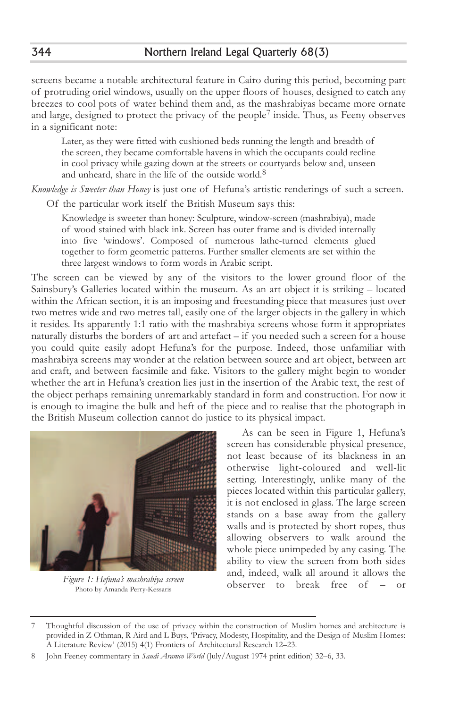screens became a notable architectural feature in Cairo during this period, becoming part of protruding oriel windows, usually on the upper floors of houses, designed to catch any breezes to cool pots of water behind them and, as the mashrabiyas became more ornate and large, designed to protect the privacy of the people<sup>7</sup> inside. Thus, as Feeny observes in a significant note:

Later, as they were fitted with cushioned beds running the length and breadth of the screen, they became comfortable havens in which the occupants could recline in cool privacy while gazing down at the streets or courtyards below and, unseen and unheard, share in the life of the outside world.<sup>8</sup>

*Knowledge is Sweeter than Honey* is just one of Hefuna's artistic renderings of such a screen.

Of the particular work itself the British Museum says this:

Knowledge is sweeter than honey: Sculpture, window-screen (mashrabiya), made of wood stained with black ink. Screen has outer frame and is divided internally into five 'windows'. Composed of numerous lathe-turned elements glued together to form geometric patterns. Further smaller elements are set within the three largest windows to form words in Arabic script.

The screen can be viewed by any of the visitors to the lower ground floor of the Sainsbury's Galleries located within the museum. As an art object it is striking – located within the African section, it is an imposing and freestanding piece that measures just over two metres wide and two metres tall, easily one of the larger objects in the gallery in which it resides. Its apparently 1:1 ratio with the mashrabiya screens whose form it appropriates naturally disturbs the borders of art and artefact – if you needed such a screen for a house you could quite easily adopt Hefuna's for the purpose. Indeed, those unfamiliar with mashrabiya screens may wonder at the relation between source and art object, between art and craft, and between facsimile and fake. Visitors to the gallery might begin to wonder whether the art in Hefuna's creation lies just in the insertion of the Arabic text, the rest of the object perhaps remaining unremarkably standard in form and construction. For now it is enough to imagine the bulk and heft of the piece and to realise that the photograph in the British Museum collection cannot do justice to its physical impact.



*Figure 1: Hefuna's mashrabiya screen* Photo by Amanda Perry-Kessaris

As can be seen in Figure 1, Hefuna's screen has considerable physical presence, not least because of its blackness in an otherwise light-coloured and well-lit setting. Interestingly, unlike many of the pieces located within this particular gallery, it is not enclosed in glass. The large screen stands on a base away from the gallery walls and is protected by short ropes, thus allowing observers to walk around the whole piece unimpeded by any casing. The ability to view the screen from both sides and, indeed, walk all around it allows the observer to break free of – or

<sup>7</sup> Thoughtful discussion of the use of privacy within the construction of Muslim homes and architecture is provided in Z Othman, R Aird and L Buys, 'Privacy, Modesty, Hospitality, and the Design of Muslim Homes: A Literature Review' (2015) 4(1) Frontiers of Architectural Research 12–23.

<sup>8</sup> John Feeney commentary in *Saudi Aramco World* (July/August 1974 print edition) 32–6, 33.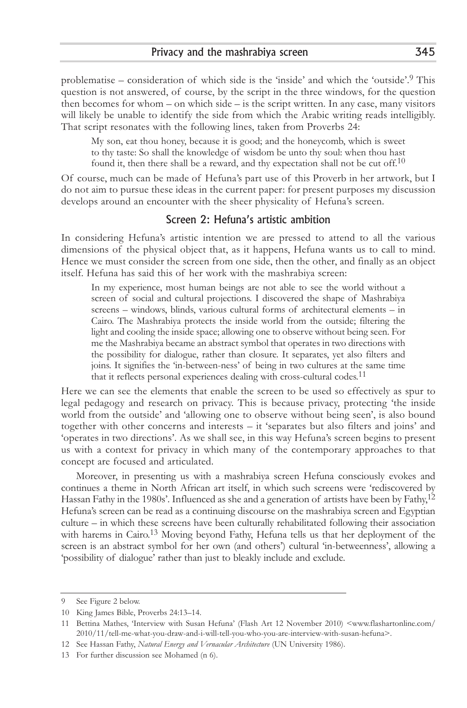problematise – consideration of which side is the 'inside' and which the 'outside'.9 This question is not answered, of course, by the script in the three windows, for the question then becomes for whom – on which side – is the script written. In any case, many visitors will likely be unable to identify the side from which the Arabic writing reads intelligibly. That script resonates with the following lines, taken from Proverbs 24:

My son, eat thou honey, because it is good; and the honeycomb, which is sweet to thy taste: So shall the knowledge of wisdom be unto thy soul: when thou hast found it, then there shall be a reward, and thy expectation shall not be cut off.<sup>10</sup>

Of course, much can be made of Hefuna's part use of this Proverb in her artwork, but I do not aim to pursue these ideas in the current paper: for present purposes my discussion develops around an encounter with the sheer physicality of Hefuna's screen.

#### Screen 2: Hefuna's artistic ambition

In considering Hefuna's artistic intention we are pressed to attend to all the various dimensions of the physical object that, as it happens, Hefuna wants us to call to mind. Hence we must consider the screen from one side, then the other, and finally as an object itself. Hefuna has said this of her work with the mashrabiya screen:

In my experience, most human beings are not able to see the world without a screen of social and cultural projections. I discovered the shape of Mashrabiya screens – windows, blinds, various cultural forms of architectural elements – in Cairo. The Mashrabiya protects the inside world from the outside; filtering the light and cooling the inside space; allowing one to observe without being seen. For me the Mashrabiya became an abstract symbol that operates in two directions with the possibility for dialogue, rather than closure. It separates, yet also filters and joins. It signifies the 'in-between-ness' of being in two cultures at the same time that it reflects personal experiences dealing with cross-cultural codes.<sup>11</sup>

Here we can see the elements that enable the screen to be used so effectively as spur to legal pedagogy and research on privacy. This is because privacy, protecting 'the inside world from the outside' and 'allowing one to observe without being seen', is also bound together with other concerns and interests – it 'separates but also filters and joins' and 'operates in two directions'. As we shall see, in this way Hefuna's screen begins to present us with a context for privacy in which many of the contemporary approaches to that concept are focused and articulated.

Moreover, in presenting us with a mashrabiya screen Hefuna consciously evokes and continues a theme in North African art itself, in which such screens were 'rediscovered by Hassan Fathy in the 1980s'. Influenced as she and a generation of artists have been by Fathy,  $12$ Hefuna's screen can be read as a continuing discourse on the mashrabiya screen and Egyptian culture – in which these screens have been culturally rehabilitated following their association with harems in Cairo.<sup>13</sup> Moving beyond Fathy, Hefuna tells us that her deployment of the screen is an abstract symbol for her own (and others') cultural 'in-betweenness', allowing a 'possibility of dialogue' rather than just to bleakly include and exclude.

<sup>9</sup> See Figure 2 below.

<sup>10</sup> King James Bible, Proverbs 24:13–14.

<sup>11</sup> Bettina Mathes, 'Interview with Susan Hefuna' (Flash Art 12 November 2010) <www.flashartonline.com/ 2010/11/tell-me-what-you-draw-and-i-will-tell-you-who-you-are-interview-with-susan-hefuna>.

<sup>12</sup> See Hassan Fathy, *Natural Energy and Vernacular Architecture* (UN University 1986).

<sup>13</sup> For further discussion see Mohamed (n 6).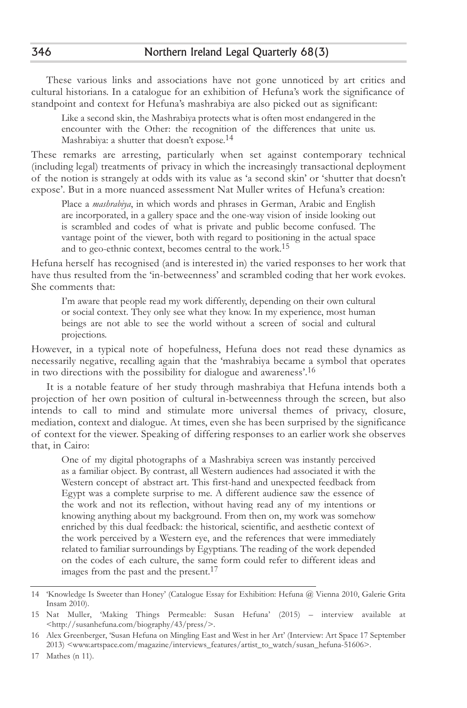These various links and associations have not gone unnoticed by art critics and cultural historians. In a catalogue for an exhibition of Hefuna's work the significance of standpoint and context for Hefuna's mashrabiya are also picked out as significant:

Like a second skin, the Mashrabiya protects what is often most endangered in the encounter with the Other: the recognition of the differences that unite us. Mashrabiya: a shutter that doesn't expose.<sup>14</sup>

These remarks are arresting, particularly when set against contemporary technical (including legal) treatments of privacy in which the increasingly transactional deployment of the notion is strangely at odds with its value as 'a second skin' or 'shutter that doesn't expose'. But in a more nuanced assessment Nat Muller writes of Hefuna's creation:

Place a *mashrabiya*, in which words and phrases in German, Arabic and English are incorporated, in a gallery space and the one-way vision of inside looking out is scrambled and codes of what is private and public become confused. The vantage point of the viewer, both with regard to positioning in the actual space and to geo-ethnic context, becomes central to the work.<sup>15</sup>

Hefuna herself has recognised (and is interested in) the varied responses to her work that have thus resulted from the 'in-betweenness' and scrambled coding that her work evokes. She comments that:

I'm aware that people read my work differently, depending on their own cultural or social context. They only see what they know. In my experience, most human beings are not able to see the world without a screen of social and cultural projections.

However, in a typical note of hopefulness, Hefuna does not read these dynamics as necessarily negative, recalling again that the 'mashrabiya became a symbol that operates in two directions with the possibility for dialogue and awareness'.16

It is a notable feature of her study through mashrabiya that Hefuna intends both a projection of her own position of cultural in-betweenness through the screen, but also intends to call to mind and stimulate more universal themes of privacy, closure, mediation, context and dialogue. At times, even she has been surprised by the significance of context for the viewer. Speaking of differing responses to an earlier work she observes that, in Cairo:

One of my digital photographs of a Mashrabiya screen was instantly perceived as a familiar object. By contrast, all Western audiences had associated it with the Western concept of abstract art. This first-hand and unexpected feedback from Egypt was a complete surprise to me. A different audience saw the essence of the work and not its reflection, without having read any of my intentions or knowing anything about my background. From then on, my work was somehow enriched by this dual feedback: the historical, scientific, and aesthetic context of the work perceived by a Western eye, and the references that were immediately related to familiar surroundings by Egyptians. The reading of the work depended on the codes of each culture, the same form could refer to different ideas and images from the past and the present.<sup>17</sup>

<sup>14 &#</sup>x27;Knowledge Is Sweeter than Honey' (Catalogue Essay for Exhibition: Hefuna @ Vienna 2010, Galerie Grita Insam 2010).

<sup>15</sup> Nat Muller, 'Making Things Permeable: Susan Hefuna' (2015) – interview available at <http://susanhefuna.com/biography/43/press/>.

<sup>16</sup> Alex Greenberger, 'Susan Hefuna on Mingling East and West in her Art' (Interview: Art Space 17 September 2013) <www.artspace.com/magazine/interviews\_features/artist\_to\_watch/susan\_hefuna-51606>.

<sup>17</sup> Mathes (n 11).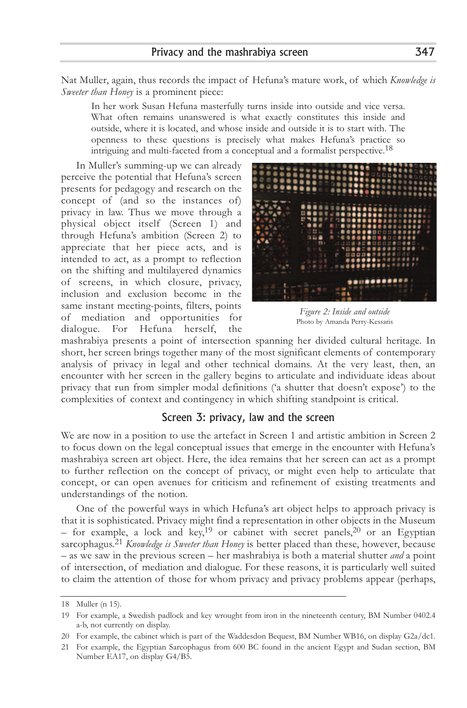Nat Muller, again, thus records the impact of Hefuna's mature work, of which *Knowledge is Sweeter than Honey* is a prominent piece:

In her work Susan Hefuna masterfully turns inside into outside and vice versa. What often remains unanswered is what exactly constitutes this inside and outside, where it is located, and whose inside and outside it is to start with. The openness to these questions is precisely what makes Hefuna's practice so intriguing and multi-faceted from a conceptual and a formalist perspective.<sup>18</sup>

In Muller's summing-up we can already perceive the potential that Hefuna's screen presents for pedagogy and research on the concept of (and so the instances of) privacy in law. Thus we move through a physical object itself (Screen 1) and through Hefuna's ambition (Screen 2) to appreciate that her piece acts, and is intended to act, as a prompt to reflection on the shifting and multilayered dynamics of screens, in which closure, privacy, inclusion and exclusion become in the same instant meeting-points, filters, points of mediation and opportunities for dialogue. For Hefuna herself, the



*Figure 2: Inside and outside* Photo by Amanda Perry-Kessaris

mashrabiya presents a point of intersection spanning her divided cultural heritage. In short, her screen brings together many of the most significant elements of contemporary analysis of privacy in legal and other technical domains. At the very least, then, an encounter with her screen in the gallery begins to articulate and individuate ideas about privacy that run from simpler modal definitions ('a shutter that doesn't expose') to the complexities of context and contingency in which shifting standpoint is critical.

#### Screen 3: privacy, law and the screen

We are now in a position to use the artefact in Screen 1 and artistic ambition in Screen 2 to focus down on the legal conceptual issues that emerge in the encounter with Hefuna's mashrabiya screen art object. Here, the idea remains that her screen can act as a prompt to further reflection on the concept of privacy, or might even help to articulate that concept, or can open avenues for criticism and refinement of existing treatments and understandings of the notion.

One of the powerful ways in which Hefuna's art object helps to approach privacy is that it is sophisticated. Privacy might find a representation in other objects in the Museum – for example, a lock and key,<sup>19</sup> or cabinet with secret panels,<sup>20</sup> or an Egyptian sarcophagus.21 *Knowledge is Sweeter than Honey* is better placed than these, however, because – as we saw in the previous screen – her mashrabiya is both a material shutter *and* a point of intersection, of mediation and dialogue. For these reasons, it is particularly well suited to claim the attention of those for whom privacy and privacy problems appear (perhaps,

<sup>18</sup> Muller (n 15).

<sup>19</sup> For example, a Swedish padlock and key wrought from iron in the nineteenth century, BM Number 0402.4 a-b, not currently on display.

<sup>20</sup> For example, the cabinet which is part of the Waddesdon Bequest, BM Number WB16, on display G2a/dc1.

<sup>21</sup> For example, the Egyptian Sarcophagus from 600 BC found in the ancient Egypt and Sudan section, BM Number EA17, on display G4/B5.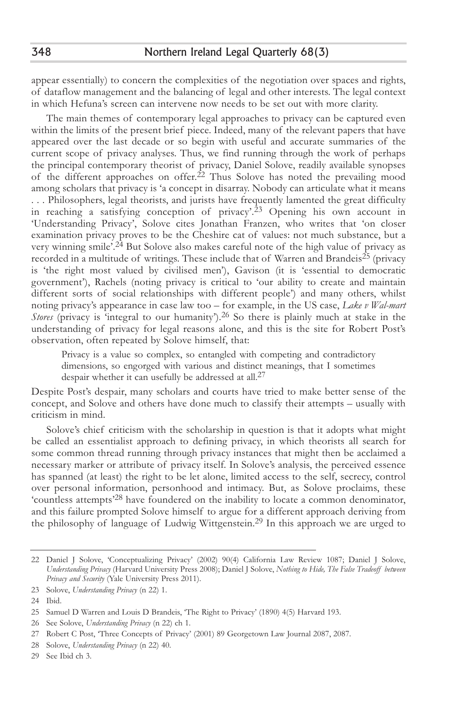appear essentially) to concern the complexities of the negotiation over spaces and rights, of dataflow management and the balancing of legal and other interests. The legal context in which Hefuna's screen can intervene now needs to be set out with more clarity.

The main themes of contemporary legal approaches to privacy can be captured even within the limits of the present brief piece. Indeed, many of the relevant papers that have appeared over the last decade or so begin with useful and accurate summaries of the current scope of privacy analyses. Thus, we find running through the work of perhaps the principal contemporary theorist of privacy, Daniel Solove, readily available synopses of the different approaches on offer.<sup>22</sup> Thus Solove has noted the prevailing mood among scholars that privacy is 'a concept in disarray. Nobody can articulate what it means . . . Philosophers, legal theorists, and jurists have frequently lamented the great difficulty in reaching a satisfying conception of privacy'.<sup>23</sup> Opening his own account in 'Understanding Privacy', Solove cites Jonathan Franzen, who writes that 'on closer examination privacy proves to be the Cheshire cat of values: not much substance, but a very winning smile'.24 But Solove also makes careful note of the high value of privacy as recorded in a multitude of writings. These include that of Warren and Brandeis25 (privacy is 'the right most valued by civilised men'), Gavison (it is 'essential to democratic government'), Rachels (noting privacy is critical to 'our ability to create and maintain different sorts of social relationships with different people') and many others, whilst noting privacy's appearance in case law too – for example, in the US case, *Lake v Wal-mart Stores* (privacy is 'integral to our humanity').<sup>26</sup> So there is plainly much at stake in the understanding of privacy for legal reasons alone, and this is the site for Robert Post's observation, often repeated by Solove himself, that:

Privacy is a value so complex, so entangled with competing and contradictory dimensions, so engorged with various and distinct meanings, that I sometimes despair whether it can usefully be addressed at all.<sup>27</sup>

Despite Post's despair, many scholars and courts have tried to make better sense of the concept, and Solove and others have done much to classify their attempts – usually with criticism in mind.

Solove's chief criticism with the scholarship in question is that it adopts what might be called an essentialist approach to defining privacy, in which theorists all search for some common thread running through privacy instances that might then be acclaimed a necessary marker or attribute of privacy itself. In Solove's analysis, the perceived essence has spanned (at least) the right to be let alone, limited access to the self, secrecy, control over personal information, personhood and intimacy. But, as Solove proclaims, these 'countless attempts'28 have foundered on the inability to locate a common denominator, and this failure prompted Solove himself to argue for a different approach deriving from the philosophy of language of Ludwig Wittgenstein.29 In this approach we are urged to

<sup>22</sup> Daniel J Solove, 'Conceptualizing Privacy' (2002) 90(4) California Law Review 1087; Daniel J Solove, *Understanding Privacy* (Harvard University Press 2008); Daniel J Solove, *Nothing to Hide, The False Tradeoff between Privacy and Security* (Yale University Press 2011).

<sup>23</sup> Solove, *Understanding Privacy* (n 22) 1.

<sup>24</sup> Ibid.

<sup>25</sup> Samuel D Warren and Louis D Brandeis, 'The Right to Privacy' (1890) 4(5) Harvard 193.

<sup>26</sup> See Solove, *Understanding Privacy* (n 22) ch 1.

<sup>27</sup> Robert C Post, 'Three Concepts of Privacy' (2001) 89 Georgetown Law Journal 2087, 2087.

<sup>28</sup> Solove, *Understanding Privacy* (n 22) 40.

<sup>29</sup> See Ibid ch 3.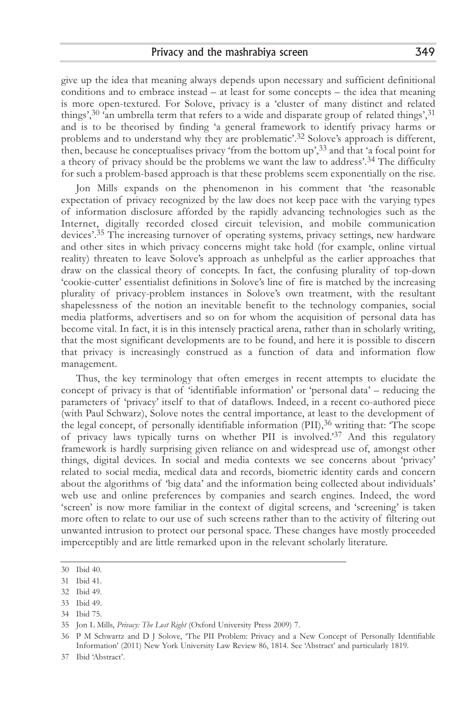give up the idea that meaning always depends upon necessary and sufficient definitional conditions and to embrace instead – at least for some concepts – the idea that meaning is more open-textured. For Solove, privacy is a 'cluster of many distinct and related things', $30$ 'an umbrella term that refers to a wide and disparate group of related things', $31$ and is to be theorised by finding 'a general framework to identify privacy harms or problems and to understand why they are problematic'.32 Solove's approach is different, then, because he conceptualises privacy 'from the bottom up',33 and that 'a focal point for a theory of privacy should be the problems we want the law to address'.34 The difficulty for such a problem-based approach is that these problems seem exponentially on the rise.

Jon Mills expands on the phenomenon in his comment that 'the reasonable expectation of privacy recognized by the law does not keep pace with the varying types of information disclosure afforded by the rapidly advancing technologies such as the Internet, digitally recorded closed circuit television, and mobile communication devices'.35 The increasing turnover of operating systems, privacy settings, new hardware and other sites in which privacy concerns might take hold (for example, online virtual reality) threaten to leave Solove's approach as unhelpful as the earlier approaches that draw on the classical theory of concepts. In fact, the confusing plurality of top-down 'cookie-cutter' essentialist definitions in Solove's line of fire is matched by the increasing plurality of privacy-problem instances in Solove's own treatment, with the resultant shapelessness of the notion an inevitable benefit to the technology companies, social media platforms, advertisers and so on for whom the acquisition of personal data has become vital. In fact, it is in this intensely practical arena, rather than in scholarly writing, that the most significant developments are to be found, and here it is possible to discern that privacy is increasingly construed as a function of data and information flow management.

Thus, the key terminology that often emerges in recent attempts to elucidate the concept of privacy is that of 'identifiable information' or 'personal data' – reducing the parameters of 'privacy' itself to that of dataflows. Indeed, in a recent co-authored piece (with Paul Schwarz), Solove notes the central importance, at least to the development of the legal concept, of personally identifiable information  $(PII)$ ,  $36$  writing that: The scope of privacy laws typically turns on whether PII is involved.'37 And this regulatory framework is hardly surprising given reliance on and widespread use of, amongst other things, digital devices. In social and media contexts we see concerns about 'privacy' related to social media, medical data and records, biometric identity cards and concern about the algorithms of 'big data' and the information being collected about individuals' web use and online preferences by companies and search engines. Indeed, the word 'screen' is now more familiar in the context of digital screens, and 'screening' is taken more often to relate to our use of such screens rather than to the activity of filtering out unwanted intrusion to protect our personal space. These changes have mostly proceeded imperceptibly and are little remarked upon in the relevant scholarly literature.

36 P M Schwartz and D J Solove, 'The PII Problem: Privacy and a New Concept of Personally Identifiable Information' (2011) New York University Law Review 86, 1814. See 'Abstract' and particularly 1819.

<sup>30</sup> Ibid 40.

<sup>31</sup> Ibid 41.

<sup>32</sup> Ibid 49.

<sup>33</sup> Ibid 49.

<sup>34</sup> Ibid 75.

<sup>35</sup> Jon L Mills, *Privacy: The Lost Right* (Oxford University Press 2009) 7.

<sup>37</sup> Ibid 'Abstract'.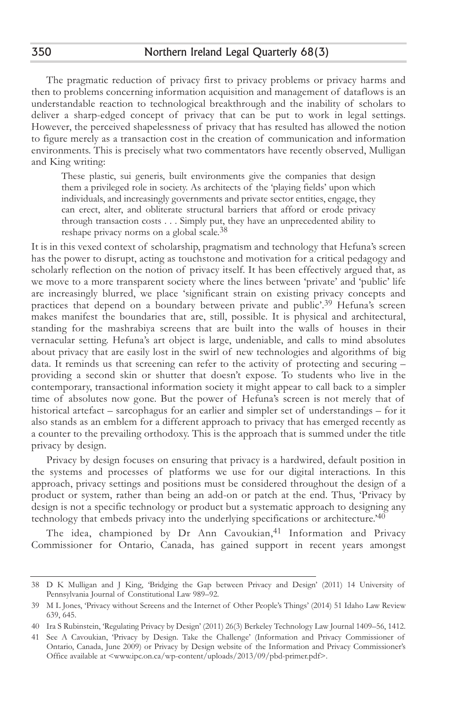The pragmatic reduction of privacy first to privacy problems or privacy harms and then to problems concerning information acquisition and management of dataflows is an understandable reaction to technological breakthrough and the inability of scholars to deliver a sharp-edged concept of privacy that can be put to work in legal settings. However, the perceived shapelessness of privacy that has resulted has allowed the notion to figure merely as a transaction cost in the creation of communication and information environments. This is precisely what two commentators have recently observed, Mulligan and King writing:

These plastic, sui generis, built environments give the companies that design them a privileged role in society. As architects of the 'playing fields' upon which individuals, and increasingly governments and private sector entities, engage, they can erect, alter, and obliterate structural barriers that afford or erode privacy through transaction costs . . . Simply put, they have an unprecedented ability to reshape privacy norms on a global scale.38

It is in this vexed context of scholarship, pragmatism and technology that Hefuna's screen has the power to disrupt, acting as touchstone and motivation for a critical pedagogy and scholarly reflection on the notion of privacy itself. It has been effectively argued that, as we move to a more transparent society where the lines between 'private' and 'public' life are increasingly blurred, we place 'significant strain on existing privacy concepts and practices that depend on a boundary between private and public'.39 Hefuna's screen makes manifest the boundaries that are, still, possible. It is physical and architectural, standing for the mashrabiya screens that are built into the walls of houses in their vernacular setting. Hefuna's art object is large, undeniable, and calls to mind absolutes about privacy that are easily lost in the swirl of new technologies and algorithms of big data. It reminds us that screening can refer to the activity of protecting and securing – providing a second skin or shutter that doesn't expose. To students who live in the contemporary, transactional information society it might appear to call back to a simpler time of absolutes now gone. But the power of Hefuna's screen is not merely that of historical artefact – sarcophagus for an earlier and simpler set of understandings – for it also stands as an emblem for a different approach to privacy that has emerged recently as a counter to the prevailing orthodoxy. This is the approach that is summed under the title privacy by design.

Privacy by design focuses on ensuring that privacy is a hardwired, default position in the systems and processes of platforms we use for our digital interactions. In this approach, privacy settings and positions must be considered throughout the design of a product or system, rather than being an add-on or patch at the end. Thus, 'Privacy by design is not a specific technology or product but a systematic approach to designing any technology that embeds privacy into the underlying specifications or architecture.'40

The idea, championed by Dr Ann Cavoukian,<sup>41</sup> Information and Privacy Commissioner for Ontario, Canada, has gained support in recent years amongst

350

<sup>38</sup> D K Mulligan and J King, 'Bridging the Gap between Privacy and Design' (2011) 14 University of Pennsylvania Journal of Constitutional Law 989–92.

<sup>39</sup> M L Jones, 'Privacy without Screens and the Internet of Other People's Things' (2014) 51 Idaho Law Review 639, 645.

<sup>40</sup> Ira S Rubinstein, 'Regulating Privacy by Design' (2011) 26(3) Berkeley Technology Law Journal 1409–56, 1412.

<sup>41</sup> See A Cavoukian, 'Privacy by Design. Take the Challenge' (Information and Privacy Commissioner of Ontario, Canada, June 2009) or Privacy by Design website of the Information and Privacy Commissioner's Office available at <www.ipc.on.ca/wp-content/uploads/2013/09/pbd-primer.pdf>.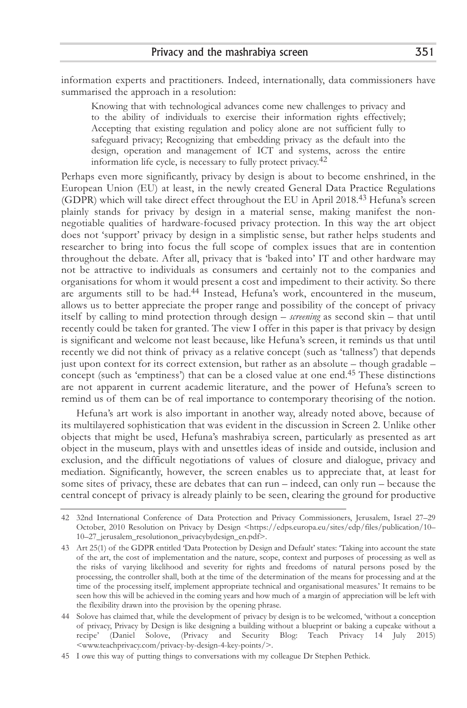information experts and practitioners. Indeed, internationally, data commissioners have summarised the approach in a resolution:

Knowing that with technological advances come new challenges to privacy and to the ability of individuals to exercise their information rights effectively; Accepting that existing regulation and policy alone are not sufficient fully to safeguard privacy; Recognizing that embedding privacy as the default into the design, operation and management of ICT and systems, across the entire information life cycle, is necessary to fully protect privacy.<sup>42</sup>

Perhaps even more significantly, privacy by design is about to become enshrined, in the European Union (EU) at least, in the newly created General Data Practice Regulations (GDPR) which will take direct effect throughout the EU in April 2018.43 Hefuna's screen plainly stands for privacy by design in a material sense, making manifest the nonnegotiable qualities of hardware-focused privacy protection. In this way the art object does not 'support' privacy by design in a simplistic sense, but rather helps students and researcher to bring into focus the full scope of complex issues that are in contention throughout the debate. After all, privacy that is 'baked into' IT and other hardware may not be attractive to individuals as consumers and certainly not to the companies and organisations for whom it would present a cost and impediment to their activity. So there are arguments still to be had.44 Instead, Hefuna's work, encountered in the museum, allows us to better appreciate the proper range and possibility of the concept of privacy itself by calling to mind protection through design – *screening* as second skin – that until recently could be taken for granted. The view I offer in this paper is that privacy by design is significant and welcome not least because, like Hefuna's screen, it reminds us that until recently we did not think of privacy as a relative concept (such as 'tallness') that depends just upon context for its correct extension, but rather as an absolute – though gradable – concept (such as 'emptiness') that can be a closed value at one end.45 These distinctions are not apparent in current academic literature, and the power of Hefuna's screen to remind us of them can be of real importance to contemporary theorising of the notion.

Hefuna's art work is also important in another way, already noted above, because of its multilayered sophistication that was evident in the discussion in Screen 2. Unlike other objects that might be used, Hefuna's mashrabiya screen, particularly as presented as art object in the museum, plays with and unsettles ideas of inside and outside, inclusion and exclusion, and the difficult negotiations of values of closure and dialogue, privacy and mediation. Significantly, however, the screen enables us to appreciate that, at least for some sites of privacy, these are debates that can run – indeed, can only run – because the central concept of privacy is already plainly to be seen, clearing the ground for productive

<sup>42 32</sup>nd International Conference of Data Protection and Privacy Commissioners, Jerusalem, Israel 27–29 October, 2010 Resolution on Privacy by Design <https://edps.europa.eu/sites/edp/files/publication/10– 10–27\_jerusalem\_resolutionon\_privacybydesign\_en.pdf>.

<sup>43</sup> Art 25(1) of the GDPR entitled 'Data Protection by Design and Default' states: 'Taking into account the state of the art, the cost of implementation and the nature, scope, context and purposes of processing as well as the risks of varying likelihood and severity for rights and freedoms of natural persons posed by the processing, the controller shall, both at the time of the determination of the means for processing and at the time of the processing itself, implement appropriate technical and organisational measures.' It remains to be seen how this will be achieved in the coming years and how much of a margin of appreciation will be left with the flexibility drawn into the provision by the opening phrase.

<sup>44</sup> Solove has claimed that, while the development of privacy by design is to be welcomed, 'without a conception of privacy, Privacy by Design is like designing a building without a blueprint or baking a cupcake without a recipe' (Daniel Solove, (Privacy and Security Blog: Teach Privacy 14 July 2015) <www.teachprivacy.com/privacy-by-design-4-key-points/>.

<sup>45</sup> I owe this way of putting things to conversations with my colleague Dr Stephen Pethick.